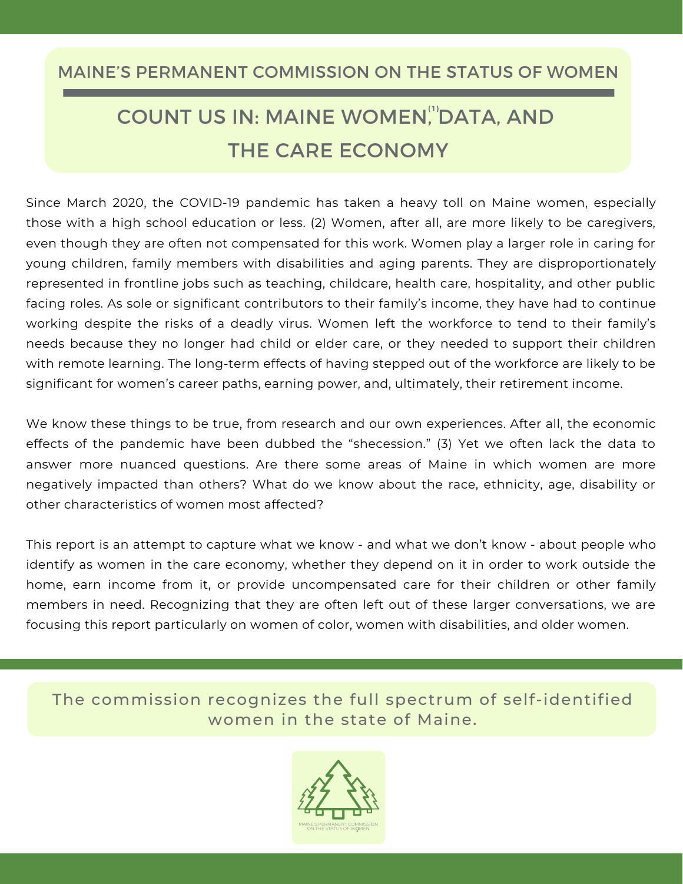# MAINE'S PERMANENT COMMISSION ON THE STATUS OF WOMEN

# COUNT US IN: MAINE WOMEN, DATA, AND **( 1 )** THE CARE ECONOMY

Since March 2020, the COVID-19 pandemic has taken a heavy toll on Maine women, especially those with a high school education or less. (2) Women, after all, are more likely to be caregivers, even though they are often not compensated for this work. Women play a larger role in caring for young children, family members with disabilities and aging parents. They are disproportionately represented in frontline jobs such as teaching, childcare, health care, hospitality, and other public facing roles. As sole or significant contributors to their family's income, they have had to continue working despite the risks of a deadly virus. Women left the workforce to tend to their family's needs because they no longer had child or elder care, or they needed to support their children with remote learning. The long-term effects of having stepped out of the workforce are likely to be significant for women's career paths, earning power, and, ultimately, their retirement income.

We know these things to be true, from research and our own experiences. After all, the economic effects of the pandemic have been dubbed the "shecession." (3) Yet we often lack the data to answer more nuanced questions. Are there some areas of Maine in which women are more negatively impacted than others? What do we know about the race, ethnicity, age, disability or other characteristics of women most affected?

This report is an attempt to capture what we know - and what we don't know - about people who identify as women in the care economy, whether they depend on it in order to work outside the home, earn income from it, or provide uncompensated care for their children or other family members in need. Recognizing that they are often left out of these larger conversations, we are focusing this report particularly on women of color, women with disabilities, and older women.

The commission recognizes the full spectrum of self-identified women in the state of Maine.

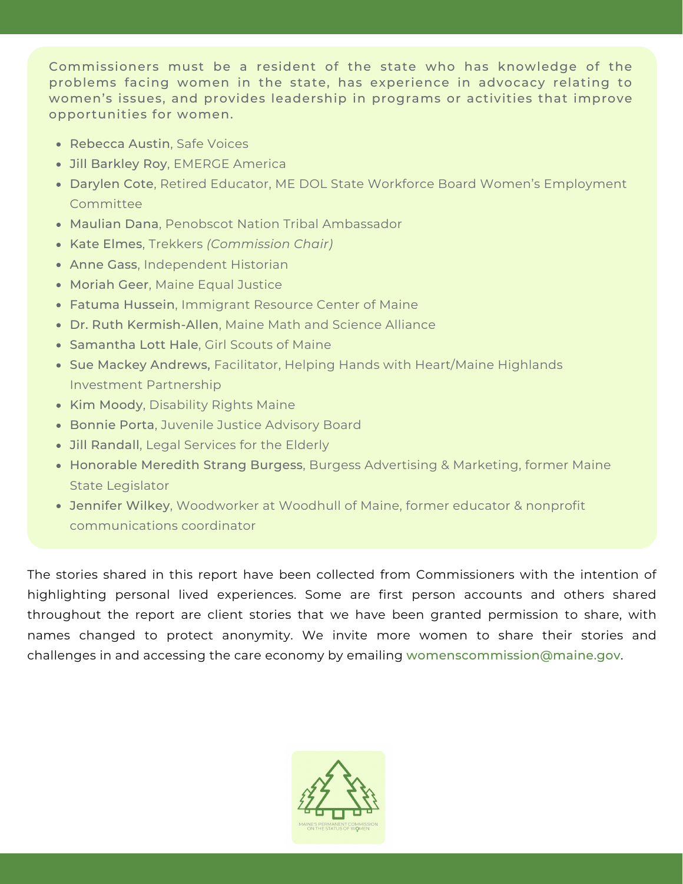Commissioners must be a resident of the state who has knowledge of the problems facing women in the state, has experience in advocacy relating to women's issues, and provides leadership in programs or activities that improve opportunities for women.

- Rebecca Austin, Safe Voices
- Jill Barkley Roy, EMERGE America
- Darylen Cote, Retired Educator, ME DOL State Workforce Board Women's Employment **Committee**
- Maulian Dana, Penobscot Nation Tribal Ambassador
- Kate Elmes, Trekkers *(Commission Chair)*
- Anne Gass, Independent Historian
- Moriah Geer, Maine Equal Justice
- Fatuma Hussein, Immigrant Resource Center of Maine
- Dr. Ruth Kermish-Allen, Maine Math and Science Alliance
- Samantha Lott Hale, Girl Scouts of Maine
- Sue Mackey Andrews, Facilitator, Helping Hands with Heart/Maine Highlands Investment Partnership
- Kim Moody, Disability Rights Maine
- **Bonnie Porta, Juvenile Justice Advisory Board**
- Jill Randall, Legal Services for the Elderly
- Honorable Meredith Strang Burgess, Burgess Advertising & Marketing, former Maine State Legislator
- Jennifer Wilkey, Woodworker at Woodhull of Maine, former educator & nonprofit communications coordinator

The stories shared in this report have been collected from Commissioners with the intention of highlighting personal lived experiences. Some are first person accounts and others shared throughout the report are client stories that we have been granted permission to share, with names changed to protect anonymity. We invite more women to share their stories and challenges in and accessing the care economy by emailing [womenscommission@maine.gov](mailto:womenscommission@maine.gov).

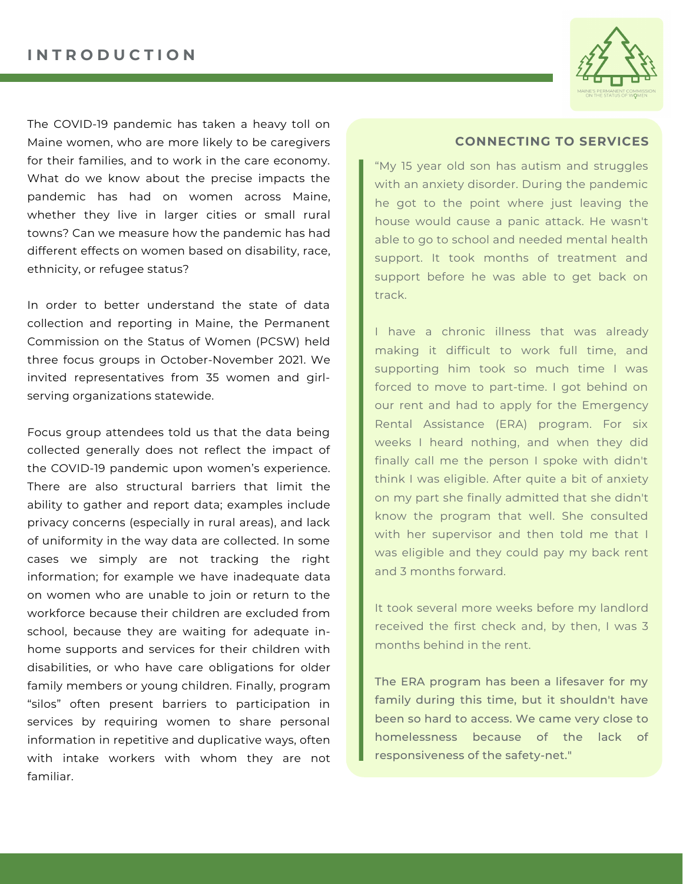

The COVID-19 pandemic has taken a heavy toll on Maine women, who are more likely to be caregivers for their families, and to work in the care economy. What do we know about the precise impacts the pandemic has had on women across Maine, whether they live in larger cities or small rural towns? Can we measure how the pandemic has had different effects on women based on disability, race, ethnicity, or refugee status?

In order to better understand the state of data collection and reporting in Maine, the Permanent Commission on the Status of Women (PCSW) held three focus groups in October-November 2021. We invited representatives from 35 women and girlserving organizations statewide.

Focus group attendees told us that the data being collected generally does not reflect the impact of the COVID-19 pandemic upon women's experience. There are also structural barriers that limit the ability to gather and report data; examples include privacy concerns (especially in rural areas), and lack of uniformity in the way data are collected. In some cases we simply are not tracking the right information; for example we have inadequate data on women who are unable to join or return to the workforce because their children are excluded from school, because they are waiting for adequate inhome supports and services for their children with disabilities, or who have care obligations for older family members or young children. Finally, program "silos" often present barriers to participation in services by requiring women to share personal information in repetitive and duplicative ways, often with intake workers with whom they are not familiar.

#### **CONNECTING TO SERVICES**

"My 15 year old son has autism and struggles with an anxiety disorder. During the pandemic he got to the point where just leaving the house would cause a panic attack. He wasn't able to go to school and needed mental health support. It took months of treatment and support before he was able to get back on track.

I have a chronic illness that was already making it difficult to work full time, and supporting him took so much time I was forced to move to part-time. I got behind on our rent and had to apply for the Emergency Rental Assistance (ERA) program. For six weeks I heard nothing, and when they did finally call me the person I spoke with didn't think I was eligible. After quite a bit of anxiety on my part she finally admitted that she didn't know the program that well. She consulted with her supervisor and then told me that I was eligible and they could pay my back rent and 3 months forward.

It took several more weeks before my landlord received the first check and, by then, I was 3 months behind in the rent.

The ERA program has been a lifesaver for my family during this time, but it shouldn't have been so hard to access. We came very close to homelessness because of the lack of responsiveness of the safety-net."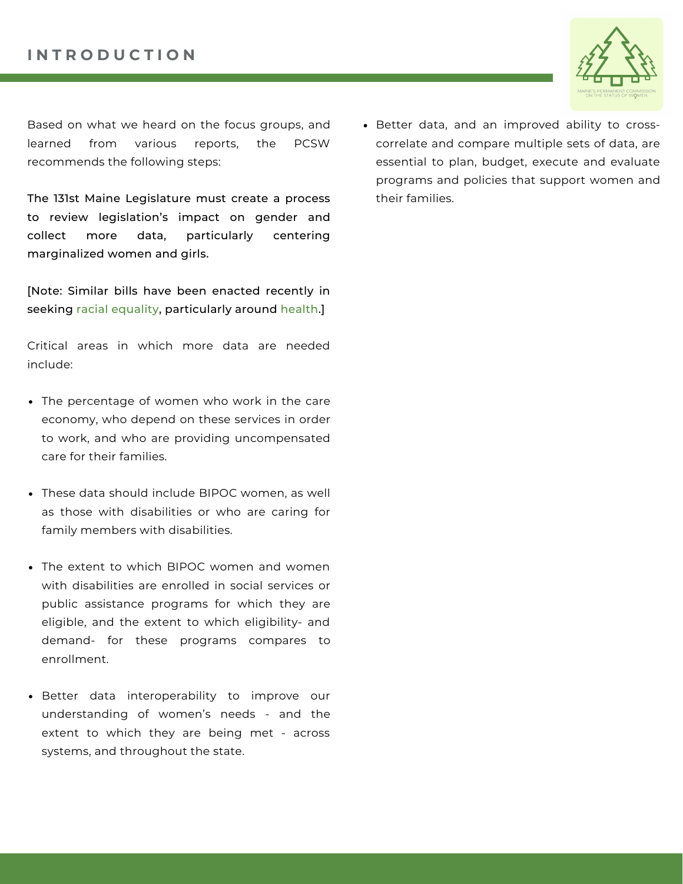

Based on what we heard on the focus groups, and learned from various reports, the PCSW recommends the following steps:

The 131st Maine Legislature must create a process to review legislation's impact on gender and collect more data, particularly centering marginalized women and girls.

[Note: Similar bills have been enacted recently in [seeking](https://www.aclumaine.org/en/legislation/ld-2-act-racial-impact-statements) racial [equality,](https://www.aclumaine.org/en/legislation/ld-2-act-racial-impact-statements) particularly around [health.\]](https://www.mecep.org/blog/health-data-bill-would-fill-in-the-holes-in-maines-understanding-of-racial-health-disparities/)

Critical areas in which more data are needed include:

- The percentage of women who work in the care economy, who depend on these services in order to work, and who are providing uncompensated care for their families.
- These data should include BIPOC women, as well as those with disabilities or who are caring for family members with disabilities.
- The extent to which BIPOC women and women with disabilities are enrolled in social services or public assistance programs for which they are eligible, and the extent to which eligibility- and demand- for these programs compares to enrollment.
- Better data interoperability to improve our understanding of women's needs - and the extent to which they are being met - across systems, and throughout the state.

Better data, and an improved ability to crosscorrelate and compare multiple sets of data, are essential to plan, budget, execute and evaluate programs and policies that support women and their families.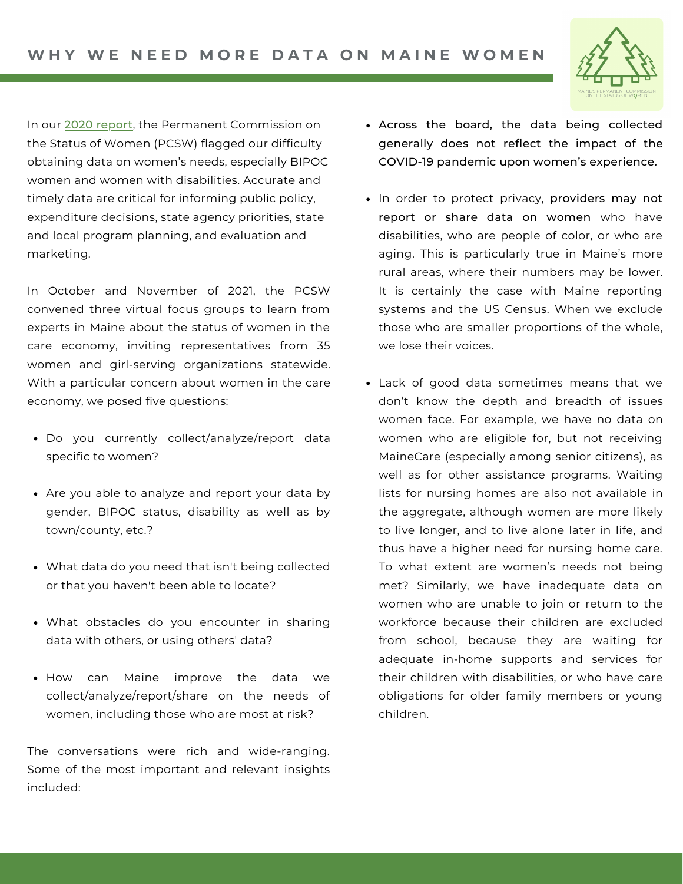

In our 2020 [report](https://www.maine.gov/sos/womens-comm/documents/PCSW2020.pdf)[,](https://www.maine.gov/sos/womens-comm/documents/PCSW2020.pdf) the Permanent Commission on the Status of Women (PCSW) flagged our difficulty obtaining data on women's needs, especially BIPOC women and women with disabilities. Accurate and timely data are critical for informing public policy, expenditure decisions, state agency priorities, state and local program planning, and evaluation and marketing.

In October and November of 2021, the PCSW convened three virtual focus groups to learn from experts in Maine about the status of women in the care economy, inviting representatives from 35 women and girl-serving organizations statewide. With a particular concern about women in the care economy, we posed five questions:

- Do you currently collect/analyze/report data specific to women?
- Are you able to analyze and report your data by gender, BIPOC status, disability as well as by town/county, etc.?
- What data do you need that isn't being collected or that you haven't been able to locate?
- What obstacles do you encounter in sharing data with others, or using others' data?
- How can Maine improve the data we collect/analyze/report/share on the needs of women, including those who are most at risk?

The conversations were rich and wide-ranging. Some of the most important and relevant insights included:

- Across the board, the data being collected generally does not reflect the impact of the COVID-19 pandemic upon women's experience.
- In order to protect privacy, providers may not report or share data on women who have disabilities, who are people of color, or who are aging. This is particularly true in Maine's more rural areas, where their numbers may be lower. It is certainly the case with Maine reporting systems and the US Census. When we exclude those who are smaller proportions of the whole, we lose their voices.
- Lack of good data sometimes means that we don't know the depth and breadth of issues women face. For example, we have no data on women who are eligible for, but not receiving MaineCare (especially among senior citizens), as well as for other assistance programs. Waiting lists for nursing homes are also not available in the aggregate, although women are more likely to live longer, and to live alone later in life, and thus have a higher need for nursing home care. To what extent are women's needs not being met? Similarly, we have inadequate data on women who are unable to join or return to the workforce because their children are excluded from school, because they are waiting for adequate in-home supports and services for their children with disabilities, or who have care obligations for older family members or young children.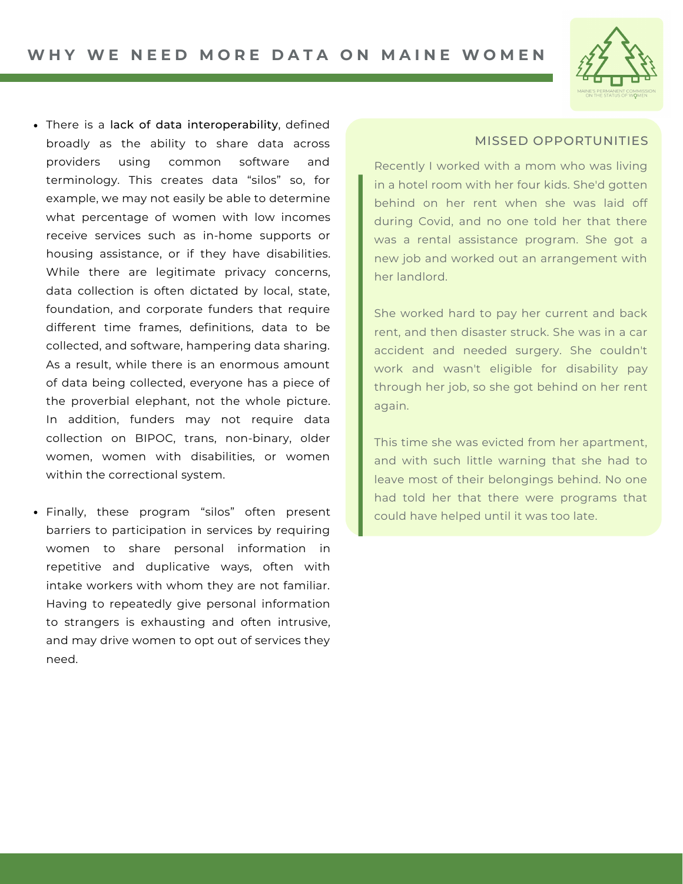

- There is a lack of data interoperability, defined broadly as the ability to share data across providers using common software and terminology. This creates data "silos" so, for example, we may not easily be able to determine what percentage of women with low incomes receive services such as in-home supports or housing assistance, or if they have disabilities. While there are legitimate privacy concerns, data collection is often dictated by local, state, foundation, and corporate funders that require different time frames, definitions, data to be collected, and software, hampering data sharing. As a result, while there is an enormous amount of data being collected, everyone has a piece of the proverbial elephant, not the whole picture. In addition, funders may not require data collection on BIPOC, trans, non-binary, older women, women with disabilities, or women within the correctional system.
- Finally, these program "silos" often present barriers to participation in services by requiring women to share personal information in repetitive and duplicative ways, often with intake workers with whom they are not familiar. Having to repeatedly give personal information to strangers is exhausting and often intrusive, and may drive women to opt out of services they need.

### MISSED OPPORTUNITIES

Recently I worked with a mom who was living in a hotel room with her four kids. She'd gotten behind on her rent when she was laid off during Covid, and no one told her that there was a rental assistance program. She got a new job and worked out an arrangement with her landlord.

She worked hard to pay her current and back rent, and then disaster struck. She was in a car accident and needed surgery. She couldn't work and wasn't eligible for disability pay through her job, so she got behind on her rent again.

This time she was evicted from her apartment, and with such little warning that she had to leave most of their belongings behind. No one had told her that there were programs that could have helped until it was too late.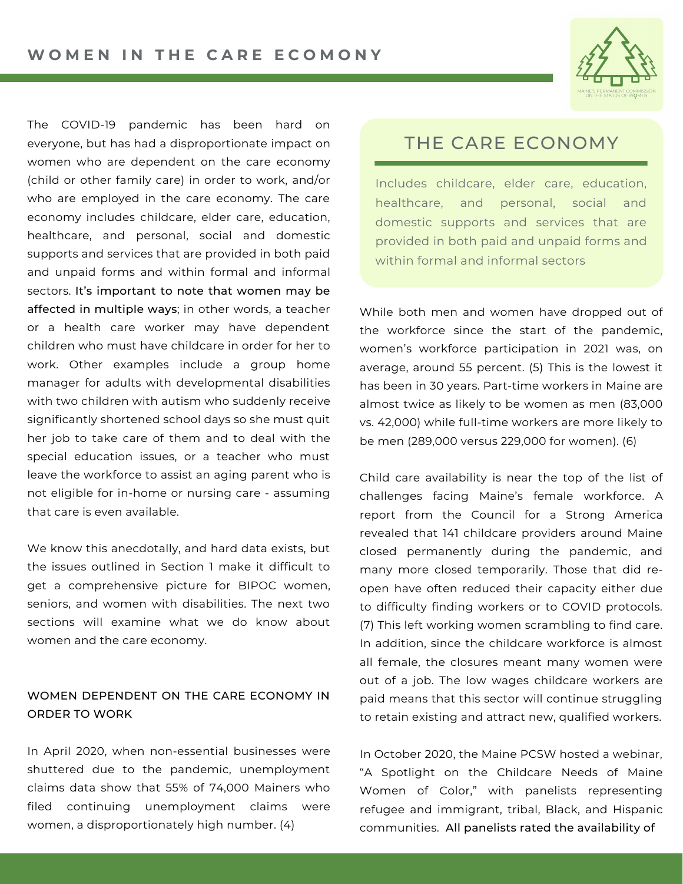

The COVID-19 pandemic has been hard on everyone, but has had a disproportionate impact on women who are dependent on the care economy (child or other family care) in order to work, and/or who are employed in the care economy. The care economy includes childcare, elder care, education, healthcare, and personal, social and domestic supports and services that are provided in both paid and unpaid forms and within formal and informal sectors. It's important to note that women may be affected in multiple ways; in other words, a teacher or a health care worker may have dependent children who must have childcare in order for her to work. Other examples include a group home manager for adults with developmental disabilities with two children with autism who suddenly receive significantly shortened school days so she must quit her job to take care of them and to deal with the special education issues, or a teacher who must leave the workforce to assist an aging parent who is not eligible for in-home or nursing care - assuming that care is even available.

We know this anecdotally, and hard data exists, but the issues outlined in Section 1 make it difficult to get a comprehensive picture for BIPOC women, seniors, and women with disabilities. The next two sections will examine what we do know about women and the care economy.

### WOMEN DEPENDENT ON THE CARE ECONOMY IN ORDER TO WORK

In April 2020, when non-essential businesses were shuttered due to the pandemic, unemployment claims data show that 55% of 74,000 Mainers who filed continuing unemployment claims were women, a disproportionately high number. (4)

### THE CARE ECONOMY

Includes childcare, elder care, education, healthcare, and personal, social and domestic supports and services that are provided in both paid and unpaid forms and within formal and informal sectors

While both men and women have dropped out of the workforce since the start of the pandemic, women's workforce participation in 2021 was, on average, around 55 percent. (5) This is the lowest it has been in 30 years. Part-time workers in Maine are almost twice as likely to be women as men (83,000 vs. 42,000) while full-time workers are more likely to be men (289,000 versus 229,000 for women). (6)

Child care availability is near the top of the list of challenges facing Maine's female workforce. A report from the Council for a Strong America revealed that 141 childcare providers around Maine closed permanently during the pandemic, and many more closed temporarily. Those that did reopen have often reduced their capacity either due to difficulty finding workers or to COVID protocols. (7) This left working women scrambling to find care. In addition, since the childcare workforce is almost all female, the closures meant many women were out of a job. The low wages childcare workers are paid means that this sector will continue struggling to retain existing and attract new, qualified workers.

In October 2020, the Maine PCSW hosted a webinar, "A Spotlight on the Childcare Needs of Maine Women of Color," with panelists representing refugee and immigrant, tribal, Black, and Hispanic communities. All panelists rated the availability of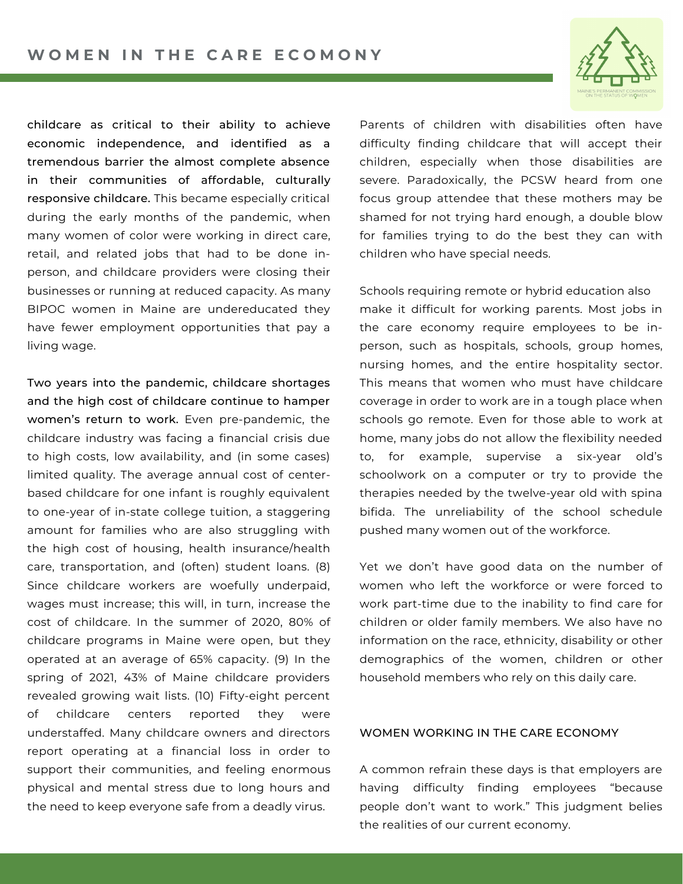

childcare as critical to their ability to achieve economic independence, and identified as a tremendous barrier the almost complete absence in their communities of affordable, culturally responsive childcare. This became especially critical during the early months of the pandemic, when many women of color were working in direct care, retail, and related jobs that had to be done inperson, and childcare providers were closing their businesses or running at reduced capacity. As many BIPOC women in Maine are undereducated they have fewer employment opportunities that pay a living wage.

Two years into the pandemic, childcare shortages and the high cost of childcare continue to hamper women's return to work. Even pre-pandemic, the childcare industry was facing a financial crisis due to high costs, low availability, and (in some cases) limited quality. The average annual cost of centerbased childcare for one infant is roughly equivalent to one-year of in-state college tuition, a staggering amount for families who are also struggling with the high cost of housing, health insurance/health care, transportation, and (often) student loans. (8) Since childcare workers are woefully underpaid, wages must increase; this will, in turn, increase the cost of childcare. In the summer of 2020, 80% of childcare programs in Maine were open, but they operated at an average of 65% capacity. (9) In the spring of 2021, 43% of Maine childcare providers revealed growing wait lists. (10) Fifty-eight percent of childcare centers reported they were understaffed. Many childcare owners and directors report operating at a financial loss in order to support their communities, and feeling enormous physical and mental stress due to long hours and the need to keep everyone safe from a deadly virus.

Parents of children with disabilities often have difficulty finding childcare that will accept their children, especially when those disabilities are severe. Paradoxically, the PCSW heard from one focus group attendee that these mothers may be shamed for not trying hard enough, a double blow for families trying to do the best they can with children who have special needs.

Schools requiring remote or hybrid education also make it difficult for working parents. Most jobs in the care economy require employees to be inperson, such as hospitals, schools, group homes, nursing homes, and the entire hospitality sector. This means that women who must have childcare coverage in order to work are in a tough place when schools go remote. Even for those able to work at home, many jobs do not allow the flexibility needed to, for example, supervise a six-year old's schoolwork on a computer or try to provide the therapies needed by the twelve-year old with spina bifida. The unreliability of the school schedule pushed many women out of the workforce.

Yet we don't have good data on the number of women who left the workforce or were forced to work part-time due to the inability to find care for children or older family members. We also have no information on the race, ethnicity, disability or other demographics of the women, children or other household members who rely on this daily care.

#### WOMEN WORKING IN THE CARE ECONOMY

A common refrain these days is that employers are having difficulty finding employees "because people don't want to work." This judgment belies the realities of our current economy.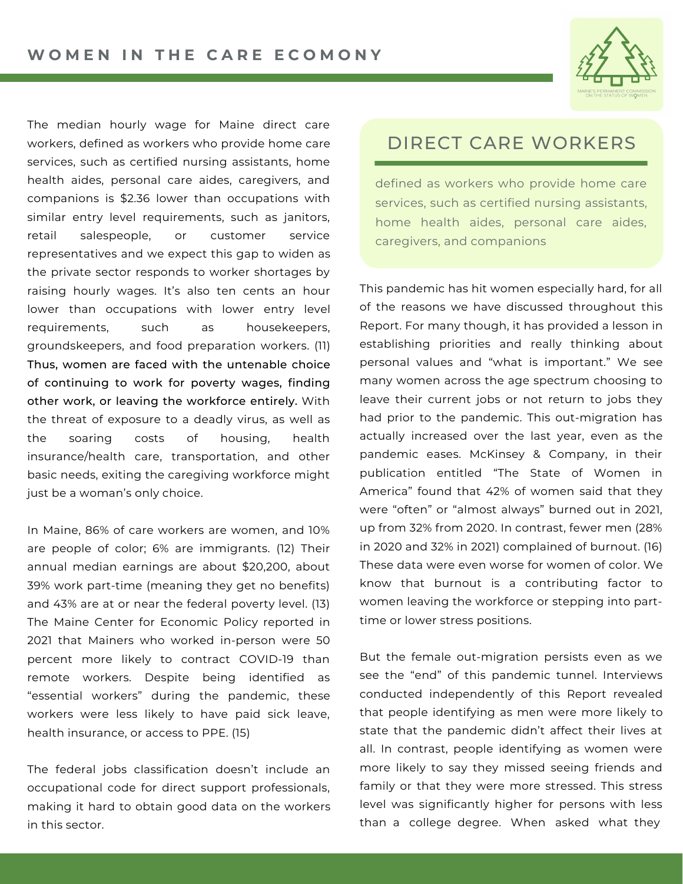

The median hourly wage for Maine direct care workers, defined as workers who provide home care services, such as certified nursing assistants, home health aides, personal care aides, caregivers, and companions is \$2.36 lower than occupations with similar entry level requirements, such as janitors, retail salespeople, or customer service representatives and we expect this gap to widen as the private sector responds to worker shortages by raising hourly wages. It's also ten cents an hour lower than occupations with lower entry level requirements, such as housekeepers, groundskeepers, and food preparation workers. (11) Thus, women are faced with the untenable choice of continuing to work for poverty wages, finding other work, or leaving the workforce entirely. With the threat of exposure to a deadly virus, as well as the soaring costs of housing, health insurance/health care, transportation, and other basic needs, exiting the caregiving workforce might just be a woman's only choice.

In Maine, 86% of care workers are women, and 10% are people of color; 6% are immigrants. (12) Their annual median earnings are about \$20,200, about 39% work part-time (meaning they get no benefits) and 43% are at or near the federal poverty level. (13) The Maine Center for Economic Policy reported in 2021 that Mainers who worked in-person were 50 percent more likely to contract COVID-19 than remote workers. Despite being identified as "essential workers" during the pandemic, these workers were less likely to have paid sick leave, health insurance, or access to PPE. (15)

The federal jobs classification doesn't include an occupational code for direct support professionals, making it hard to obtain good data on the workers in this sector.

# DIRECT CARE WORKERS

defined as workers who provide home care services, such as certified nursing assistants, home health aides, personal care aides, caregivers, and companions

This pandemic has hit women especially hard, for all of the reasons we have discussed throughout this Report. For many though, it has provided a lesson in establishing priorities and really thinking about personal values and "what is important." We see many women across the age spectrum choosing to leave their current jobs or not return to jobs they had prior to the pandemic. This out-migration has actually increased over the last year, even as the pandemic eases. McKinsey & Company, in their publication entitled "The State of Women in America" found that 42% of women said that they were "often" or "almost always" burned out in 2021, up from 32% from 2020. In contrast, fewer men (28% in 2020 and 32% in 2021) complained of burnout. (16) These data were even worse for women of color. We know that burnout is a contributing factor to women leaving the workforce or stepping into parttime or lower stress positions.

But the female out-migration persists even as we see the "end" of this pandemic tunnel. Interviews conducted independently of this Report revealed that people identifying as men were more likely to state that the pandemic didn't affect their lives at all. In contrast, people identifying as women were more likely to say they missed seeing friends and family or that they were more stressed. This stress level was significantly higher for persons with less than a college degree. When asked what they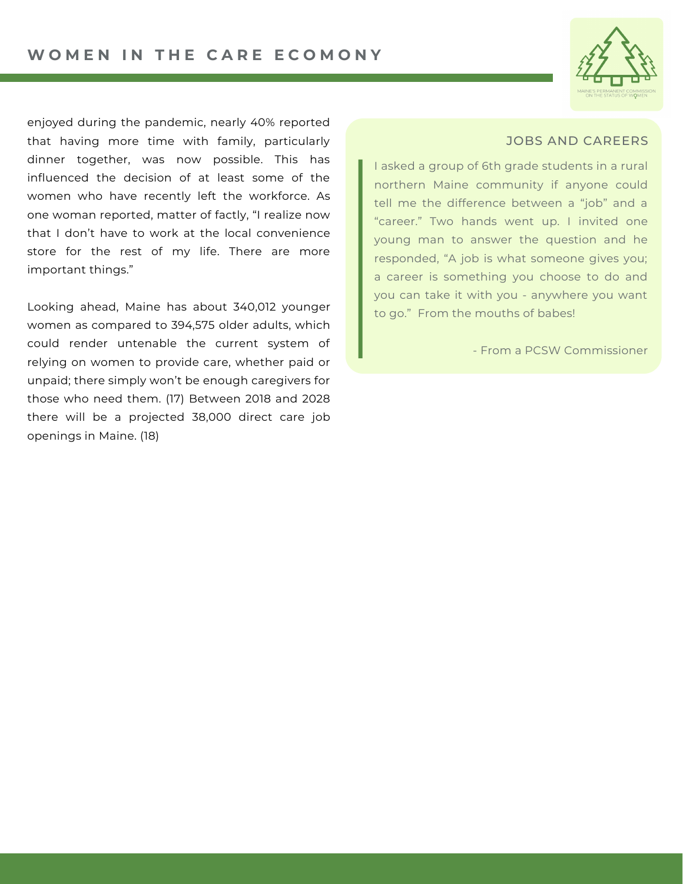

enjoyed during the pandemic, nearly 40% reported that having more time with family, particularly dinner together, was now possible. This has influenced the decision of at least some of the women who have recently left the workforce. As one woman reported, matter of factly, "I realize now that I don't have to work at the local convenience store for the rest of my life. There are more important things."

Looking ahead, Maine has about 340,012 younger women as compared to 394,575 older adults, which could render untenable the current system of relying on women to provide care, whether paid or unpaid; there simply won't be enough caregivers for those who need them. (17) Between 2018 and 2028 there will be a projected 38,000 direct care job openings in Maine. (18)

### JOBS AND CAREERS

I asked a group of 6th grade students in a rural northern Maine community if anyone could tell me the difference between a "job" and a "career." Two hands went up. I invited one young man to answer the question and he responded, "A job is what someone gives you; a career is something you choose to do and you can take it with you - anywhere you want to go." From the mouths of babes!

- From a PCSW Commissioner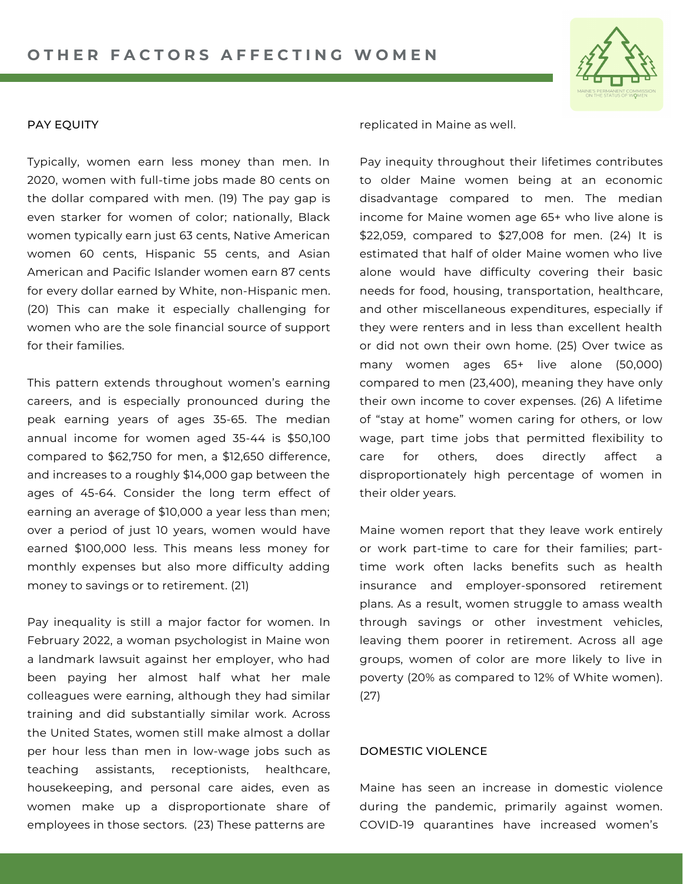

#### PAY EQUITY

Typically, women earn less money than men. In 2020, women with full-time jobs made 80 cents on the dollar compared with men. (19) The pay gap is even starker for women of color; nationally, Black women typically earn just 63 cents, Native American women 60 cents, Hispanic 55 cents, and Asian American and Pacific Islander women earn 87 cents for every dollar earned by White, non-Hispanic men. (20) This can make it especially challenging for women who are the sole financial source of support for their families.

This pattern extends throughout women's earning careers, and is especially pronounced during the peak earning years of ages 35-65. The median annual income for women aged 35-44 is \$50,100 compared to \$62,750 for men, a \$12,650 difference, and increases to a roughly \$14,000 gap between the ages of 45-64. Consider the long term effect of earning an average of \$10,000 a year less than men; over a period of just 10 years, women would have earned \$100,000 less. This means less money for monthly expenses but also more difficulty adding money to savings or to retirement. (21)

Pay inequality is still a major factor for women. In February 2022, a woman psychologist in Maine won a landmark lawsuit against her employer, who had been paying her almost half what her male colleagues were earning, although they had similar training and did substantially similar work. Across the United States, women still make almost a dollar per hour less than men in low-wage jobs such as teaching assistants, receptionists, healthcare, housekeeping, and personal care aides, even as women make up a disproportionate share of employees in those sectors. (23) These patterns are

replicated in Maine as well.

Pay inequity throughout their lifetimes contributes to older Maine women being at an economic disadvantage compared to men. The median income for Maine women age 65+ who live alone is \$22,059, compared to \$27,008 for men. (24) It is estimated that half of older Maine women who live alone would have difficulty covering their basic needs for food, housing, transportation, healthcare, and other miscellaneous expenditures, especially if they were renters and in less than excellent health or did not own their own home. (25) Over twice as many women ages 65+ live alone (50,000) compared to men (23,400), meaning they have only their own income to cover expenses. (26) A lifetime of "stay at home" women caring for others, or low wage, part time jobs that permitted flexibility to care for others, does directly affect a disproportionately high percentage of women in their older years.

Maine women report that they leave work entirely or work part-time to care for their families; parttime work often lacks benefits such as health insurance and employer-sponsored retirement plans. As a result, women struggle to amass wealth through savings or other investment vehicles, leaving them poorer in retirement. Across all age groups, women of color are more likely to live in poverty (20% as compared to 12% of White women). (27)

#### DOMESTIC VIOLENCE

Maine has seen an increase in domestic violence during the pandemic, primarily against women. COVID-19 quarantines have increased women's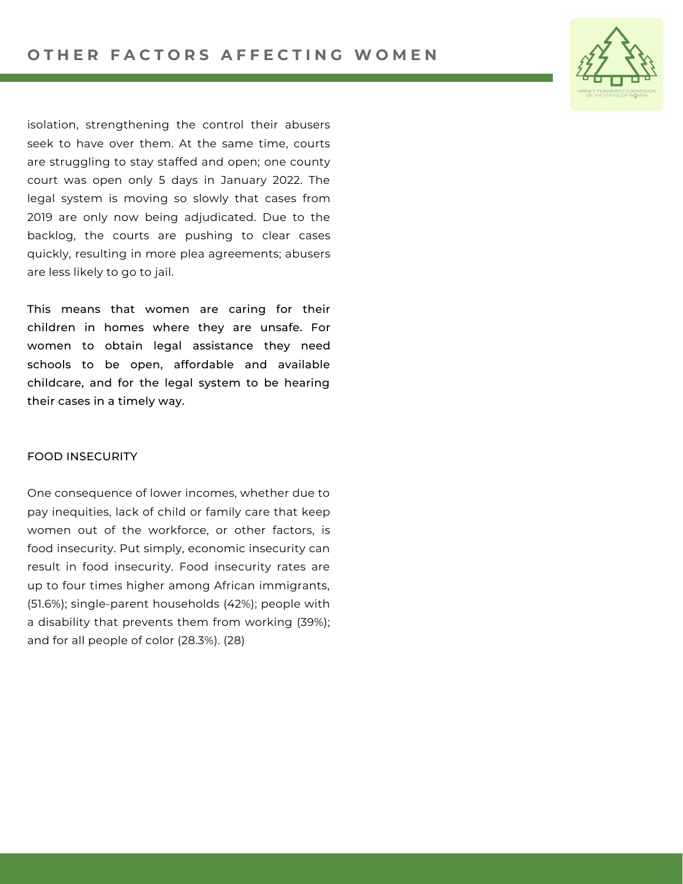

isolation, strengthening the control their abusers seek to have over them. At the same time, courts are struggling to stay staffed and open; one county court was open only 5 days in January 2022. The legal system is moving so slowly that cases from 2019 are only now being adjudicated. Due to the backlog, the courts are pushing to clear cases quickly, resulting in more plea agreements; abusers are less likely to go to jail.

This means that women are caring for their children in homes where they are unsafe. For women to obtain legal assistance they need schools to be open, affordable and available childcare, and for the legal system to be hearing their cases in a timely way.

### FOOD INSECURITY

One consequence of lower incomes, whether due to pay inequities, lack of child or family care that keep women out of the workforce, or other factors, is food insecurity. Put simply, economic insecurity can result in food insecurity. Food insecurity rates are up to four times higher among African immigrants, (51.6%); single-parent households (42%); people with a disability that prevents them from working (39%); and for all people of color (28.3%). (28)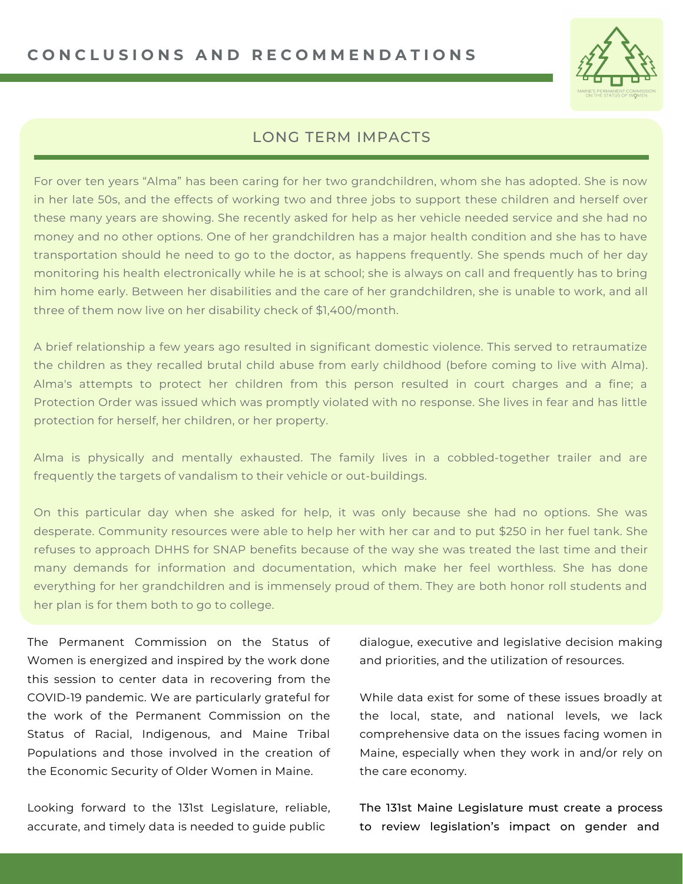

### LONG TERM IMPACTS

For over ten years "Alma" has been caring for her two grandchildren, whom she has adopted. She is now in her late 50s, and the effects of working two and three jobs to support these children and herself over these many years are showing. She recently asked for help as her vehicle needed service and she had no money and no other options. One of her grandchildren has a major health condition and she has to have transportation should he need to go to the doctor, as happens frequently. She spends much of her day monitoring his health electronically while he is at school; she is always on call and frequently has to bring him home early. Between her disabilities and the care of her grandchildren, she is unable to work, and all three of them now live on her disability check of \$1,400/month.

A brief relationship a few years ago resulted in significant domestic violence. This served to retraumatize the children as they recalled brutal child abuse from early childhood (before coming to live with Alma). Alma's attempts to protect her children from this person resulted in court charges and a fine; a Protection Order was issued which was promptly violated with no response. She lives in fear and has little protection for herself, her children, or her property.

Alma is physically and mentally exhausted. The family lives in a cobbled-together trailer and are frequently the targets of vandalism to their vehicle or out-buildings.

On this particular day when she asked for help, it was only because she had no options. She was desperate. Community resources were able to help her with her car and to put \$250 in her fuel tank. She refuses to approach DHHS for SNAP benefits because of the way she was treated the last time and their many demands for information and documentation, which make her feel worthless. She has done everything for her grandchildren and is immensely proud of them. They are both honor roll students and her plan is for them both to go to college.

The Permanent Commission on the Status of Women is energized and inspired by the work done this session to center data in recovering from the COVID-19 pandemic. We are particularly grateful for the work of the Permanent Commission on the Status of Racial, Indigenous, and Maine Tribal Populations and those involved in the creation of the [Economic](https://digitalcommons.usm.maine.edu/cgi/viewcontent.cgi?article=1150&context=aging) Security of Older Women in Maine.

Looking forward to the 131st Legislature, reliable, accurate, and timely data is needed to guide public

dialogue, executive and legislative decision making and priorities, and the utilization of resources.

While data exist for some of these issues broadly at the local, state, and national levels, we lack comprehensive data on the issues facing women in Maine, especially when they work in and/or rely on the care economy.

The 131st Maine Legislature must create a process to review legislation's impact on gender and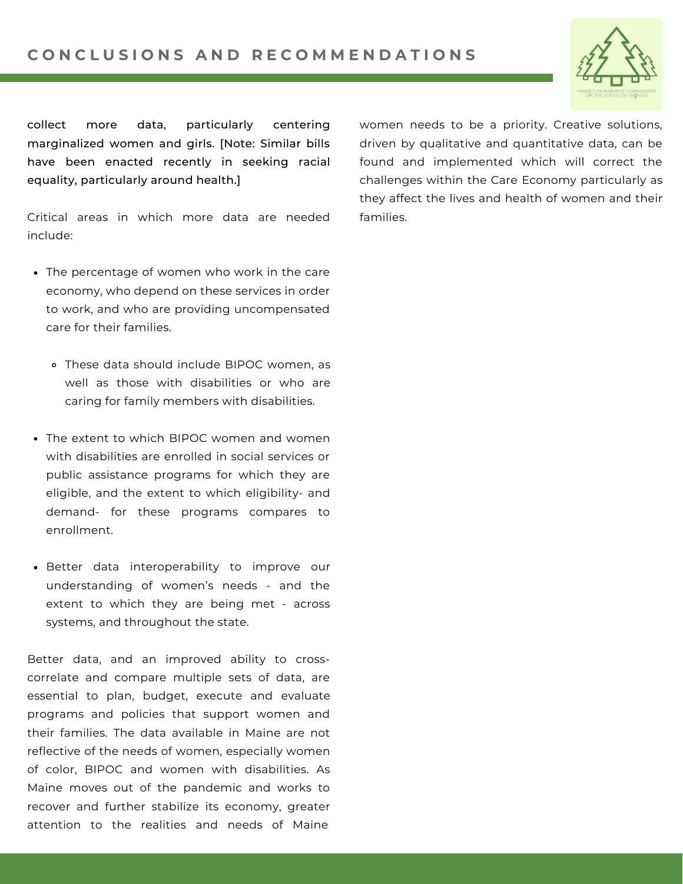

collect more data, particularly centering marginalized women and girls. [Note: Similar bills have been enacted recently in seeking racial equality, [particularly](https://www.aclumaine.org/en/legislation/ld-2-act-racial-impact-statements) around [health.\]](https://www.mecep.org/blog/health-data-bill-would-fill-in-the-holes-in-maines-understanding-of-racial-health-disparities/)

Critical areas in which more data are needed include:

- The percentage of women who work in the care economy, who depend on these services in order to work, and who are providing uncompensated care for their families.
	- These data should include BIPOC women, as well as those with disabilities or who are caring for family members with disabilities.
- The extent to which BIPOC women and women with disabilities are enrolled in social services or public assistance programs for which they are eligible, and the extent to which eligibility- and demand- for these programs compares to enrollment.
- Better data interoperability to improve our understanding of women's needs - and the extent to which they are being met - across systems, and throughout the state.

Better data, and an improved ability to crosscorrelate and compare multiple sets of data, are essential to plan, budget, execute and evaluate programs and policies that support women and their families. The data available in Maine are not reflective of the needs of women, especially women of color, BIPOC and women with disabilities. As Maine moves out of the pandemic and works to recover and further stabilize its economy, greater attention to the realities and needs of Maine

women needs to be a priority. Creative solutions, driven by qualitative and quantitative data, can be found and implemented which will correct the challenges within the Care Economy particularly as they affect the lives and health of women and their families.